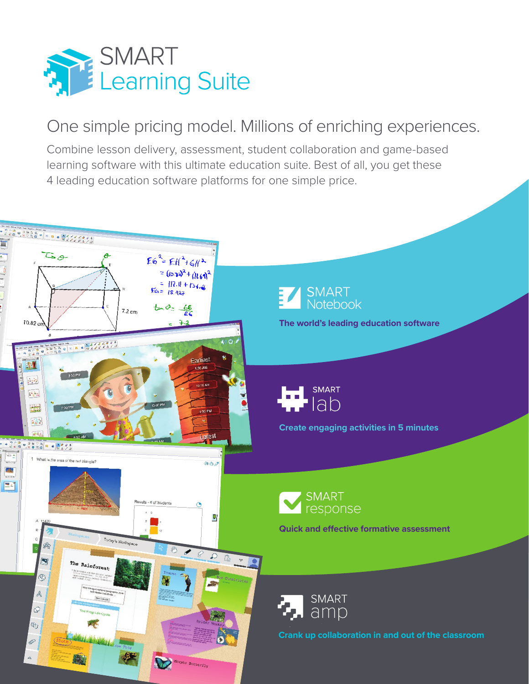

# One simple pricing model. Millions of enriching experiences.

Combine lesson delivery, assessment, student collaboration and game-based learning software with this ultimate education suite. Best of all, you get these 4 leading education software platforms for one simple price.